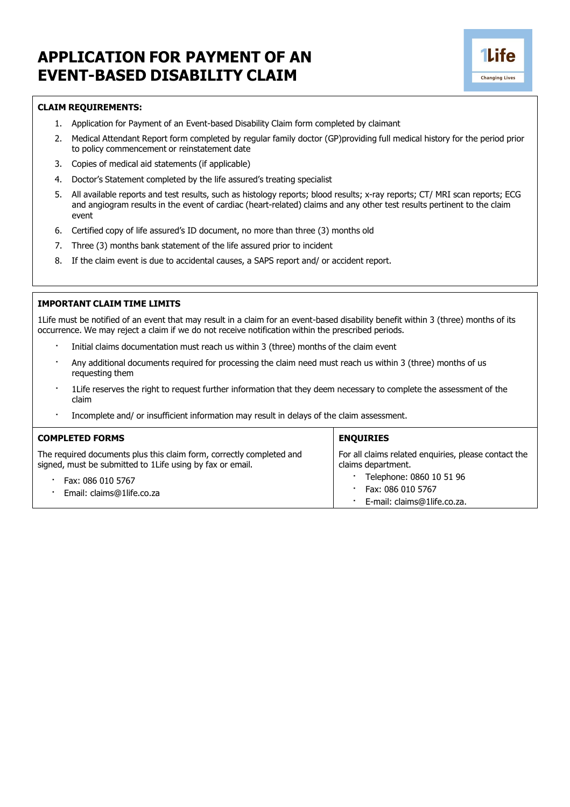## **APPLICATION FOR PAYMENT OF AN EVENT-BASED DISABILITY CLAIM**



- 1. Application for Payment of an Event-based Disability Claim form completed by claimant
- 2. Medical Attendant Report form completed by regular family doctor (GP)providing full medical history for the period prior to policy commencement or reinstatement date

**1Life** 

**Changing Lives** 

- 3. Copies of medical aid statements (if applicable)
- 4. Doctor's Statement completed by the life assured's treating specialist
- 5. All available reports and test results, such as histology reports; blood results; x-ray reports; CT/ MRI scan reports; ECG and angiogram results in the event of cardiac (heart-related) claims and any other test results pertinent to the claim event
- 6. Certified copy of life assured's ID document, no more than three (3) months old
- 7. Three (3) months bank statement of the life assured prior to incident
- 8. If the claim event is due to accidental causes, a SAPS report and/ or accident report.

## **IMPORTANT CLAIM TIME LIMITS**

1Life must be notified of an event that may result in a claim for an event-based disability benefit within 3 (three) months of its occurrence. We may reject a claim if we do not receive notification within the prescribed periods.

- Initial claims documentation must reach us within 3 (three) months of the claim event
- · Any additional documents required for processing the claim need must reach us within 3 (three) months of us requesting them
- · 1Life reserves the right to request further information that they deem necessary to complete the assessment of the claim
- · Incomplete and/ or insufficient information may result in delays of the claim assessment.

| <b>COMPLETED FORMS</b>                                                                                                            | <b>ENQUIRIES</b>                                                             |  |  |  |
|-----------------------------------------------------------------------------------------------------------------------------------|------------------------------------------------------------------------------|--|--|--|
| The required documents plus this claim form, correctly completed and<br>signed, must be submitted to 1Life using by fax or email. | For all claims related enquiries, please contact the<br>claims department.   |  |  |  |
| Fax: 086 010 5767<br>Email: claims@1life.co.za                                                                                    | Telephone: 0860 10 51 96<br>Fax: 086 010 5767<br>E-mail: claims@1life.co.za. |  |  |  |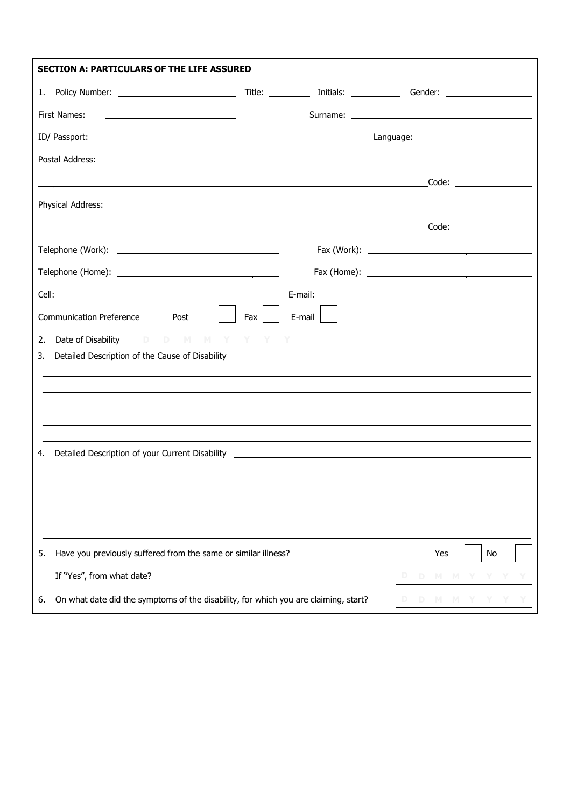| <b>SECTION A: PARTICULARS OF THE LIFE ASSURED</b>                                                                                   |     |                                                                                                                      |    |       |    |  |
|-------------------------------------------------------------------------------------------------------------------------------------|-----|----------------------------------------------------------------------------------------------------------------------|----|-------|----|--|
|                                                                                                                                     |     |                                                                                                                      |    |       |    |  |
| First Names:<br><u> 1989 - Johann Barn, mars eta bainar eta baina eta baina eta baina eta baina eta baina eta baina eta baina e</u> |     |                                                                                                                      |    |       |    |  |
| ID/ Passport:                                                                                                                       |     | <u> Alexandria de la contrada de la contrada de la contrada de la contrada de la contrada de la contrada de la c</u> |    |       |    |  |
|                                                                                                                                     |     |                                                                                                                      |    |       |    |  |
|                                                                                                                                     |     |                                                                                                                      |    |       |    |  |
| Physical Address:<br><u> 2000 - Andrea Andrewski, amerikansk politik (d. 1982)</u>                                                  |     |                                                                                                                      |    |       |    |  |
|                                                                                                                                     |     |                                                                                                                      |    |       |    |  |
|                                                                                                                                     |     |                                                                                                                      |    |       |    |  |
|                                                                                                                                     |     |                                                                                                                      |    |       |    |  |
| Cell:<br><u> 1989 - Jan Stein Stein, fransk politik (f. 1989)</u>                                                                   |     |                                                                                                                      |    |       |    |  |
| Communication Preference Post                                                                                                       | Fax | $E$ -mail                                                                                                            |    |       |    |  |
| Date of Disability <b>DDMMYYYY</b><br>2.                                                                                            |     |                                                                                                                      |    |       |    |  |
| 3.                                                                                                                                  |     |                                                                                                                      |    |       |    |  |
|                                                                                                                                     |     |                                                                                                                      |    |       |    |  |
|                                                                                                                                     |     |                                                                                                                      |    |       |    |  |
|                                                                                                                                     |     |                                                                                                                      |    |       |    |  |
|                                                                                                                                     |     |                                                                                                                      |    |       |    |  |
|                                                                                                                                     |     |                                                                                                                      |    |       |    |  |
|                                                                                                                                     |     |                                                                                                                      |    |       |    |  |
|                                                                                                                                     |     |                                                                                                                      |    |       |    |  |
| Have you previously suffered from the same or similar illness?<br>5.                                                                |     |                                                                                                                      |    | Yes   | No |  |
| If "Yes", from what date?                                                                                                           |     |                                                                                                                      |    | M     |    |  |
| On what date did the symptoms of the disability, for which you are claiming, start?<br>6.                                           |     |                                                                                                                      | D. | D M M |    |  |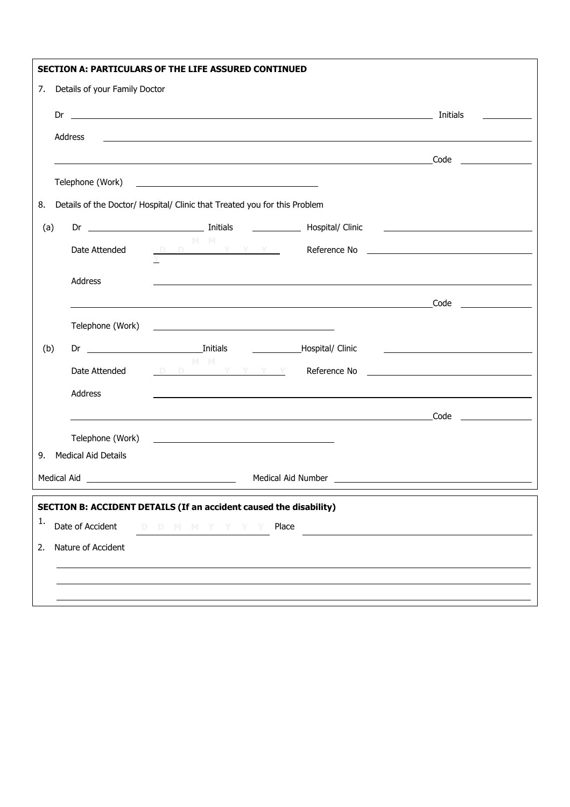|                                     |                                              |                            | <b>SECTION A: PARTICULARS OF THE LIFE ASSURED CONTINUED</b>                                                            |  |                        |  |  |
|-------------------------------------|----------------------------------------------|----------------------------|------------------------------------------------------------------------------------------------------------------------|--|------------------------|--|--|
| Details of your Family Doctor<br>7. |                                              |                            |                                                                                                                        |  |                        |  |  |
|                                     | Dr                                           |                            |                                                                                                                        |  |                        |  |  |
|                                     |                                              | Address                    |                                                                                                                        |  |                        |  |  |
|                                     |                                              |                            |                                                                                                                        |  |                        |  |  |
|                                     |                                              |                            |                                                                                                                        |  |                        |  |  |
| 8.                                  |                                              |                            | Details of the Doctor/ Hospital/ Clinic that Treated you for this Problem                                              |  |                        |  |  |
| (a)                                 |                                              |                            |                                                                                                                        |  |                        |  |  |
|                                     |                                              | Date Attended              | $M$ $M$                                                                                                                |  |                        |  |  |
|                                     |                                              | Address                    |                                                                                                                        |  |                        |  |  |
|                                     |                                              |                            |                                                                                                                        |  |                        |  |  |
|                                     |                                              |                            |                                                                                                                        |  |                        |  |  |
|                                     |                                              | Telephone (Work)           | <u> 1989 - Johann Barbara, martin da basar a shekara 1989 - An tsa a shekara 1989 - An tsa a shekara 1989 - An tsa</u> |  |                        |  |  |
| (b)                                 |                                              |                            | M M                                                                                                                    |  |                        |  |  |
|                                     |                                              | Date Attended              |                                                                                                                        |  |                        |  |  |
|                                     |                                              | Address                    | ,我们也不会有什么。""我们的人,我们也不会有什么?""我们的人,我们也不会有什么?""我们的人,我们也不会有什么?""我们的人,我们也不会有什么?""我们的人                                       |  |                        |  |  |
|                                     |                                              |                            |                                                                                                                        |  | Code _________________ |  |  |
|                                     |                                              |                            |                                                                                                                        |  |                        |  |  |
| 9.                                  |                                              | <b>Medical Aid Details</b> |                                                                                                                        |  |                        |  |  |
|                                     |                                              | Medical Aid                |                                                                                                                        |  |                        |  |  |
|                                     |                                              |                            | <b>SECTION B: ACCIDENT DETAILS (If an accident caused the disability)</b>                                              |  |                        |  |  |
| 1.                                  | Date of Accident<br>D D M M Y Y Y Y<br>Place |                            |                                                                                                                        |  |                        |  |  |
| 2.                                  | Nature of Accident                           |                            |                                                                                                                        |  |                        |  |  |
|                                     |                                              |                            |                                                                                                                        |  |                        |  |  |
|                                     |                                              |                            |                                                                                                                        |  |                        |  |  |
|                                     |                                              |                            |                                                                                                                        |  |                        |  |  |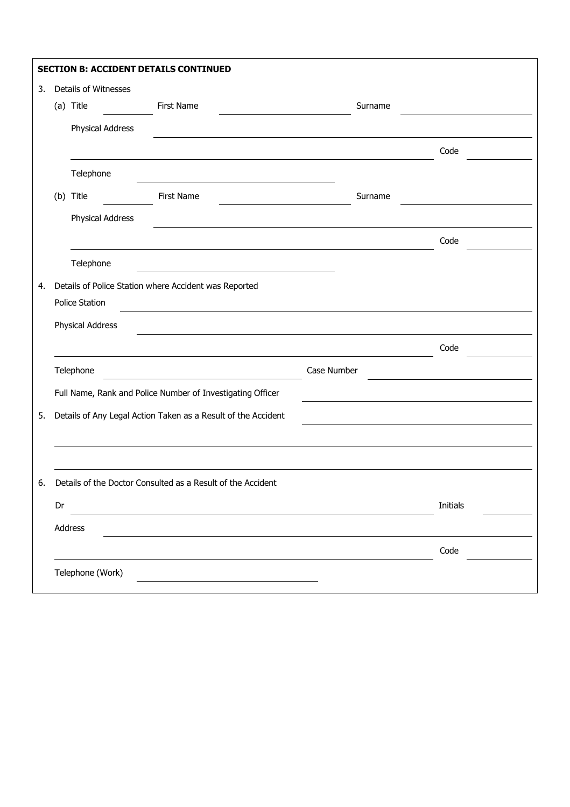|    |    | <b>SECTION B: ACCIDENT DETAILS CONTINUED</b> |                                                               |             |                 |
|----|----|----------------------------------------------|---------------------------------------------------------------|-------------|-----------------|
| 3. |    | Details of Witnesses                         |                                                               |             |                 |
|    |    | (a) Title                                    | <b>First Name</b>                                             | Surname     |                 |
|    |    | Physical Address                             |                                                               |             |                 |
|    |    |                                              |                                                               |             | Code            |
|    |    | Telephone                                    |                                                               |             |                 |
|    |    | (b) Title                                    | First Name                                                    | Surname     |                 |
|    |    | Physical Address                             |                                                               |             |                 |
|    |    |                                              |                                                               |             | Code            |
|    |    | Telephone                                    |                                                               |             |                 |
| 4. |    |                                              | Details of Police Station where Accident was Reported         |             |                 |
|    |    | Police Station                               |                                                               |             |                 |
|    |    | Physical Address                             |                                                               |             |                 |
|    |    |                                              |                                                               |             | Code            |
|    |    | Telephone                                    |                                                               | Case Number |                 |
|    |    |                                              |                                                               |             |                 |
|    |    |                                              | Full Name, Rank and Police Number of Investigating Officer    |             |                 |
| 5. |    |                                              | Details of Any Legal Action Taken as a Result of the Accident |             |                 |
|    |    |                                              |                                                               |             |                 |
|    |    |                                              |                                                               |             |                 |
| 6. |    |                                              | Details of the Doctor Consulted as a Result of the Accident   |             |                 |
|    | Dr |                                              |                                                               |             | <b>Initials</b> |
|    |    | Address                                      |                                                               |             |                 |
|    |    |                                              |                                                               |             | Code            |
|    |    | Telephone (Work)                             |                                                               |             |                 |